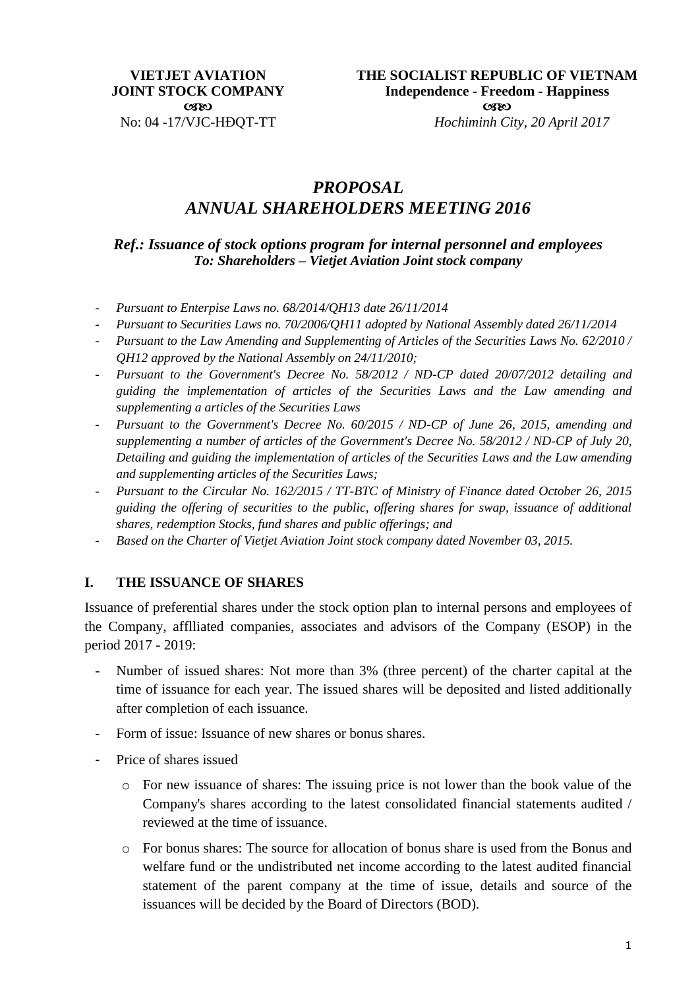# *PROPOSAL ANNUAL SHAREHOLDERS MEETING 2016*

*Ref.: Issuance of stock options program for internal personnel and employees To: Shareholders – Vietjet Aviation Joint stock company*

- *Pursuant to Enterpise Laws no. 68/2014/QH13 date 26/11/2014*
- *Pursuant to Securities Laws no. 70/2006/QH11 adopted by National Assembly dated 26/11/2014*
- *Pursuant to the Law Amending and Supplementing of Articles of the Securities Laws No. 62/2010 / QH12 approved by the National Assembly on 24/11/2010;*
- *Pursuant to the Government's Decree No. 58/2012 / ND-CP dated 20/07/2012 detailing and guiding the implementation of articles of the Securities Laws and the Law amending and supplementing a articles of the Securities Laws*
- *Pursuant to the Government's Decree No. 60/2015 / ND-CP of June 26, 2015, amending and supplementing a number of articles of the Government's Decree No. 58/2012 / ND-CP of July 20, Detailing and guiding the implementation of articles of the Securities Laws and the Law amending and supplementing articles of the Securities Laws;*
- *Pursuant to the Circular No. 162/2015 / TT-BTC of Ministry of Finance dated October 26, 2015 guiding the offering of securities to the public, offering shares for swap, issuance of additional shares, redemption Stocks, fund shares and public offerings; and*
- *Based on the Charter of Vietjet Aviation Joint stock company dated November 03, 2015.*

#### **I. THE ISSUANCE OF SHARES**

Issuance of preferential shares under the stock option plan to internal persons and employees of the Company, afflliated companies, associates and advisors of the Company (ESOP) in the period 2017 - 2019:

- Number of issued shares: Not more than 3% (three percent) of the charter capital at the time of issuance for each year. The issued shares will be deposited and listed additionally after completion of each issuance.
- Form of issue: Issuance of new shares or bonus shares.
- Price of shares issued
	- o For new issuance of shares: The issuing price is not lower than the book value of the Company's shares according to the latest consolidated financial statements audited / reviewed at the time of issuance.
	- o For bonus shares: The source for allocation of bonus share is used from the Bonus and welfare fund or the undistributed net income according to the latest audited financial statement of the parent company at the time of issue, details and source of the issuances will be decided by the Board of Directors (BOD).